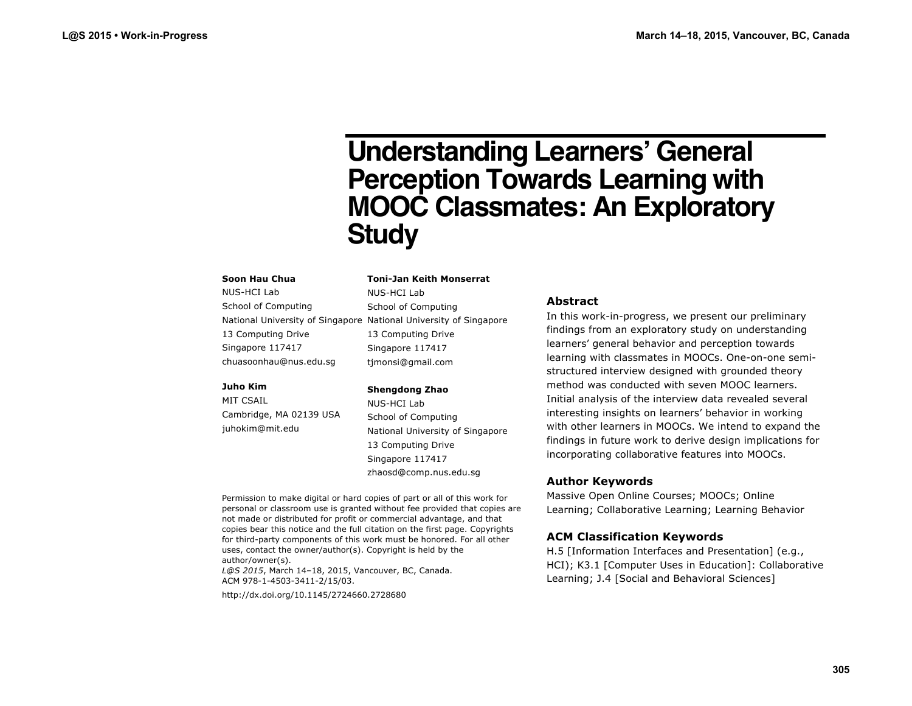# **Understanding Learners' General Perception Towards Learning with MOOC Classmates: An Exploratory Study**

#### **Soon Hau Chua**

NUS-HCI Lab School of Computing National University of Singapore National University of Singapore 13 Computing Drive Singapore 117417 chuasoonhau@nus.edu.sg

#### **Juho Kim**

MIT CSAIL Cambridge, MA 02139 USA juhokim@mit.edu

timonsi@gmail.com **Shengdong Zhao** NUS-HCI Lab School of Computing National University of Singapore 13 Computing Drive Singapore 117417

zhaosd@comp.nus.edu.sg

**Toni-Jan Keith Monserrat**

NUS-HCI Lab School of Computing

13 Computing Drive Singapore 117417

Permission to make digital or hard copies of part or all of this work for personal or classroom use is granted without fee provided that copies are not made or distributed for profit or commercial advantage, and that copies bear this notice and the full citation on the first page. Copyrights for third-party components of this work must be honored. For all other uses, contact the owner/author(s). Copyright is held by the author/owner(s).

*L@S 2015*, March 14–18, 2015, Vancouver, BC, Canada. ACM 978-1-4503-3411-2/15/03.

http://dx.doi.org/10.1145/2724660.2728680

## **Abstract**

In this work-in-progress, we present our preliminary findings from an exploratory study on understanding learners' general behavior and perception towards learning with classmates in MOOCs. One-on-one semistructured interview designed with grounded theory method was conducted with seven MOOC learners. Initial analysis of the interview data revealed several interesting insights on learners' behavior in working with other learners in MOOCs. We intend to expand the findings in future work to derive design implications for incorporating collaborative features into MOOCs.

# **Author Keywords**

Massive Open Online Courses; MOOCs; Online Learning; Collaborative Learning; Learning Behavior

# **ACM Classification Keywords**

H.5 [Information Interfaces and Presentation] (e.g., HCI); K3.1 [Computer Uses in Education]: Collaborative Learning; J.4 [Social and Behavioral Sciences]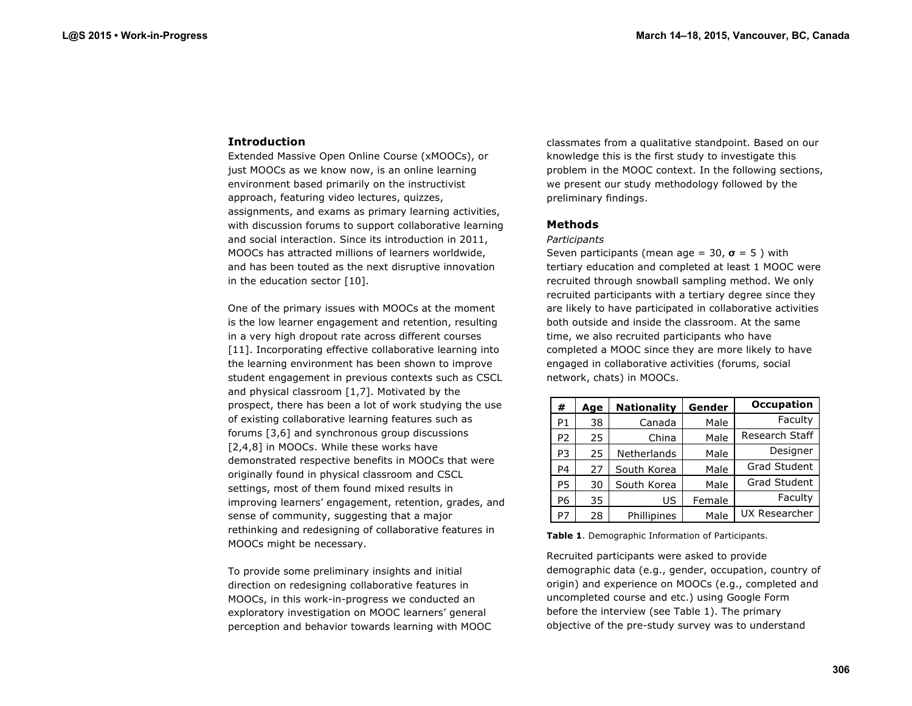## **Introduction**

Extended Massive Open Online Course (xMOOCs), or just MOOCs as we know now, is an online learning environment based primarily on the instructivist approach, featuring video lectures, quizzes, assignments, and exams as primary learning activities, with discussion forums to support collaborative learning and social interaction. Since its introduction in 2011, MOOCs has attracted millions of learners worldwide, and has been touted as the next disruptive innovation in the education sector [10].

One of the primary issues with MOOCs at the moment is the low learner engagement and retention, resulting in a very high dropout rate across different courses [11]. Incorporating effective collaborative learning into the learning environment has been shown to improve student engagement in previous contexts such as CSCL and physical classroom [1,7]. Motivated by the prospect, there has been a lot of work studying the use of existing collaborative learning features such as forums [3,6] and synchronous group discussions [2,4,8] in MOOCs. While these works have demonstrated respective benefits in MOOCs that were originally found in physical classroom and CSCL settings, most of them found mixed results in improving learners' engagement, retention, grades, and sense of community, suggesting that a major rethinking and redesigning of collaborative features in MOOCs might be necessary.

To provide some preliminary insights and initial direction on redesigning collaborative features in MOOCs, in this work-in-progress we conducted an exploratory investigation on MOOC learners' general perception and behavior towards learning with MOOC classmates from a qualitative standpoint. Based on our knowledge this is the first study to investigate this problem in the MOOC context. In the following sections, we present our study methodology followed by the preliminary findings.

# **Methods**

#### *Participants*

Seven participants (mean age =  $30, \sigma = 5$ ) with tertiary education and completed at least 1 MOOC were recruited through snowball sampling method. We only recruited participants with a tertiary degree since they are likely to have participated in collaborative activities both outside and inside the classroom. At the same time, we also recruited participants who have completed a MOOC since they are more likely to have engaged in collaborative activities (forums, social network, chats) in MOOCs.

| #              | Age | <b>Nationality</b> | Gender | <b>Occupation</b>   |
|----------------|-----|--------------------|--------|---------------------|
| P1             | 38  | Canada             | Male   | Faculty             |
| P <sub>2</sub> | 25  | China              | Male   | Research Staff      |
| P3             | 25  | Netherlands        | Male   | Designer            |
| P4             | 27  | South Korea        | Male   | Grad Student        |
| P5             | 30  | South Korea        | Male   | <b>Grad Student</b> |
| P6             | 35  | US                 | Female | Faculty             |
| P7             | 28  | Phillipines        | Male   | UX Researcher       |

**Table 1**. Demographic Information of Participants.

Recruited participants were asked to provide demographic data (e.g., gender, occupation, country of origin) and experience on MOOCs (e.g., completed and uncompleted course and etc.) using Google Form before the interview (see Table 1). The primary objective of the pre-study survey was to understand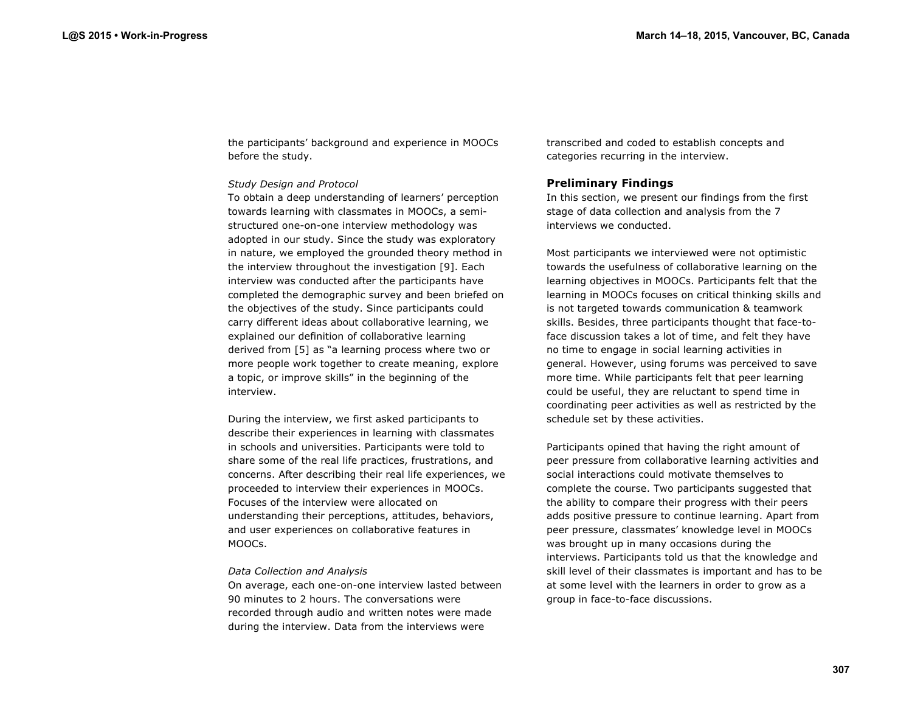the participants' background and experience in MOOCs before the study.

### *Study Design and Protocol*

To obtain a deep understanding of learners' perception towards learning with classmates in MOOCs, a semistructured one-on-one interview methodology was adopted in our study. Since the study was exploratory in nature, we employed the grounded theory method in the interview throughout the investigation [9]. Each interview was conducted after the participants have completed the demographic survey and been briefed on the objectives of the study. Since participants could carry different ideas about collaborative learning, we explained our definition of collaborative learning derived from [5] as "a learning process where two or more people work together to create meaning, explore a topic, or improve skills" in the beginning of the interview.

During the interview, we first asked participants to describe their experiences in learning with classmates in schools and universities. Participants were told to share some of the real life practices, frustrations, and concerns. After describing their real life experiences, we proceeded to interview their experiences in MOOCs. Focuses of the interview were allocated on understanding their perceptions, attitudes, behaviors, and user experiences on collaborative features in MOOCs.

### *Data Collection and Analysis*

On average, each one-on-one interview lasted between 90 minutes to 2 hours. The conversations were recorded through audio and written notes were made during the interview. Data from the interviews were

transcribed and coded to establish concepts and categories recurring in the interview.

# **Preliminary Findings**

In this section, we present our findings from the first stage of data collection and analysis from the 7 interviews we conducted.

Most participants we interviewed were not optimistic towards the usefulness of collaborative learning on the learning objectives in MOOCs. Participants felt that the learning in MOOCs focuses on critical thinking skills and is not targeted towards communication & teamwork skills. Besides, three participants thought that face-toface discussion takes a lot of time, and felt they have no time to engage in social learning activities in general. However, using forums was perceived to save more time. While participants felt that peer learning could be useful, they are reluctant to spend time in coordinating peer activities as well as restricted by the schedule set by these activities.

Participants opined that having the right amount of peer pressure from collaborative learning activities and social interactions could motivate themselves to complete the course. Two participants suggested that the ability to compare their progress with their peers adds positive pressure to continue learning. Apart from peer pressure, classmates' knowledge level in MOOCs was brought up in many occasions during the interviews. Participants told us that the knowledge and skill level of their classmates is important and has to be at some level with the learners in order to grow as a group in face-to-face discussions.